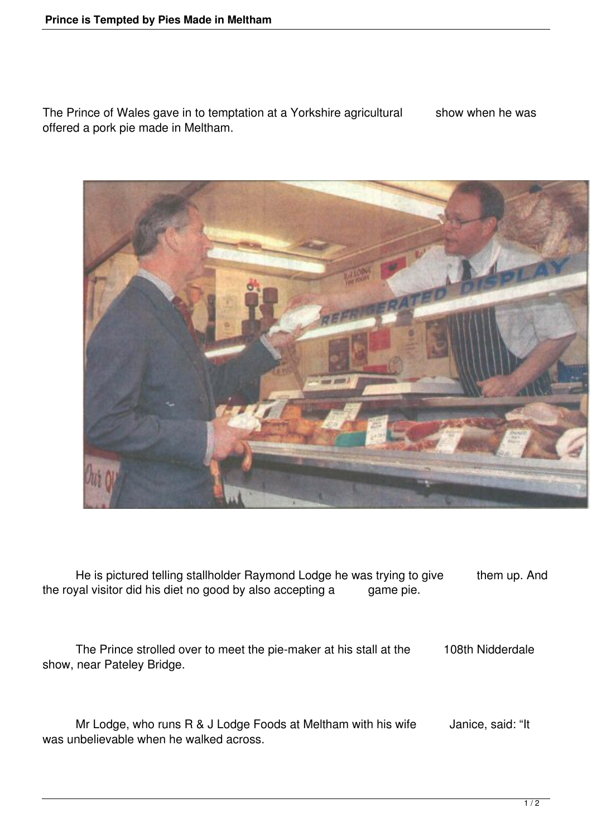The Prince of Wales gave in to temptation at a Yorkshire agricultural show when he was offered a pork pie made in Meltham.



He is pictured telling stallholder Raymond Lodge he was trying to give them up. And the royal visitor did his diet no good by also accepting a game pie.

 The Prince strolled over to meet the pie-maker at his stall at the 108th Nidderdale show, near Pateley Bridge.

Mr Lodge, who runs R & J Lodge Foods at Meltham with his wife Janice, said: "It was unbelievable when he walked across.